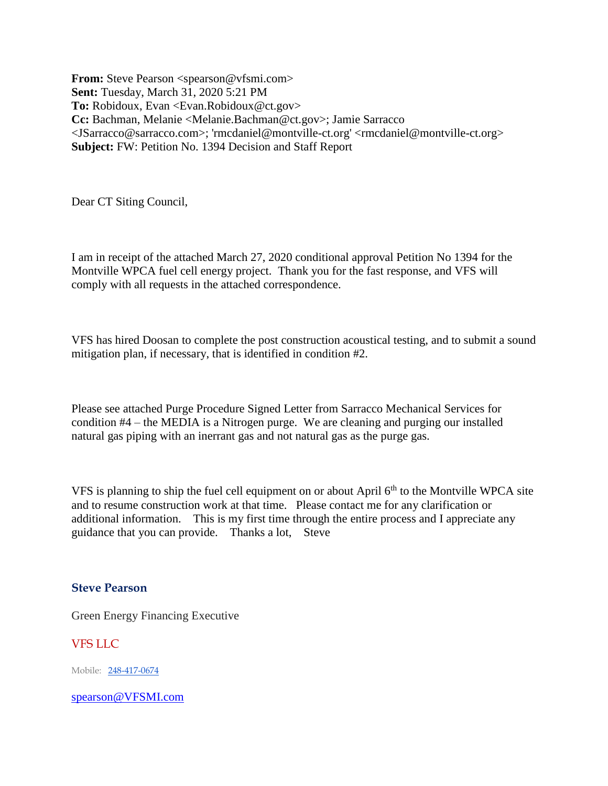**From:** Steve Pearson <spearson@vfsmi.com> **Sent:** Tuesday, March 31, 2020 5:21 PM To: Robidoux, Evan <Evan.Robidoux@ct.gov> **Cc:** Bachman, Melanie <Melanie.Bachman@ct.gov>; Jamie Sarracco <JSarracco@sarracco.com>; 'rmcdaniel@montville-ct.org' <rmcdaniel@montville-ct.org> **Subject:** FW: Petition No. 1394 Decision and Staff Report

Dear CT Siting Council,

I am in receipt of the attached March 27, 2020 conditional approval Petition No 1394 for the Montville WPCA fuel cell energy project. Thank you for the fast response, and VFS will comply with all requests in the attached correspondence.

VFS has hired Doosan to complete the post construction acoustical testing, and to submit a sound mitigation plan, if necessary, that is identified in condition #2.

Please see attached Purge Procedure Signed Letter from Sarracco Mechanical Services for condition #4 – the MEDIA is a Nitrogen purge. We are cleaning and purging our installed natural gas piping with an inerrant gas and not natural gas as the purge gas.

VFS is planning to ship the fuel cell equipment on or about April  $6<sup>th</sup>$  to the Montville WPCA site and to resume construction work at that time. Please contact me for any clarification or additional information. This is my first time through the entire process and I appreciate any guidance that you can provide. Thanks a lot, Steve

## **Steve Pearson**

Green Energy Financing Executive

VFS LLC

Mobile: 248-417-0674

[spearson@VFSMI.com](mailto:spearson@VFSMI.com)